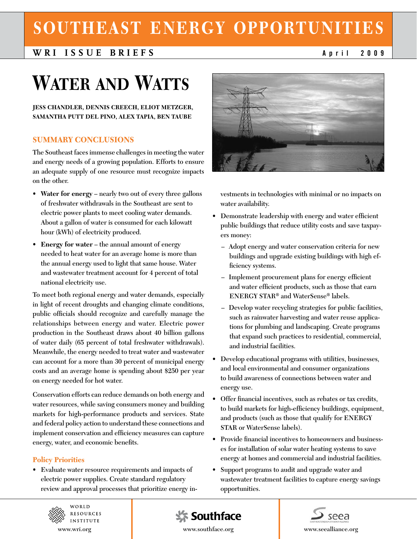# **Southeast Energy Opportunities**

# **WRI Issue B ri efs April<sup>2009</sup>**

# **Water and Watts**

**Jess Chandler, Dennis Creech, Eliot Metzger, Samantha Putt del Pino, Alex Tapia, Ben Taube**

# **SUMMARY CONCLUSIONS**

**The Southeast faces immense challenges in meeting the water and energy needs of a growing population. Efforts to ensure an adequate supply of one resource must recognize impacts on the other.**

- **• Water for energy nearly two out of every three gallons of freshwater withdrawals in the Southeast are sent to electric power plants to meet cooling water demands. About a gallon of water is consumed for each kilowatt hour (kWh) of electricity produced.**
- **• Energy for water the annual amount of energy needed to heat water for an average home is more than the annual energy used to light that same house. Water and wastewater treatment account for 4 percent of total national electricity use.**

**To meet both regional energy and water demands, especially in light of recent droughts and changing climate conditions, public officials should recognize and carefully manage the relationships between energy and water. Electric power production in the Southeast draws about 40 billion gallons of water daily (65 percent of total freshwater withdrawals). Meanwhile, the energy needed to treat water and wastewater can account for a more than 30 percent of municipal energy costs and an average home is spending about \$250 per year on energy needed for hot water.** 

**Conservation efforts can reduce demands on both energy and water resources, while saving consumers money and building markets for high-performance products and services. State and federal policy action to understand these connections and implement conservation and efficiency measures can capture energy, water, and economic benefits.** 

## **Policy Priorities**

**• Evaluate water resource requirements and impacts of electric power supplies. Create standard regulatory review and approval processes that prioritize energy in-**



**vestments in technologies with minimal or no impacts on water availability.**

- **• Demonstrate leadership with energy and water efficient public buildings that reduce utility costs and save taxpayers money:**
	- **– Adopt energy and water conservation criteria for new buildings and upgrade existing buildings with high efficiency systems.**
	- **– Implement procurement plans for energy efficient and water efficient products, such as those that earn ENERGY STAR® and WaterSense® labels.**
	- **– Develop water recycling strategies for public facilities, such as rainwater harvesting and water reuse applications for plumbing and landscaping. Create programs that expand such practices to residential, commercial, and industrial facilities.**
- **• Develop educational programs with utilities, businesses, and local environmental and consumer organizations to build awareness of connections between water and energy use.**
- **• Offer financial incentives, such as rebates or tax credits, to build markets for high-efficiency buildings, equipment, and products (such as those that qualify for ENERGY STAR or WaterSense labels).**
- Provide financial incentives to homeowners and business**es for installation of solar water heating systems to save energy at homes and commercial and industrial facilities.**
- **• Support programs to audit and upgrade water and wastewater treatment facilities to capture energy savings opportunities.**



WORLD **RESOURCES INSTITUTE** 



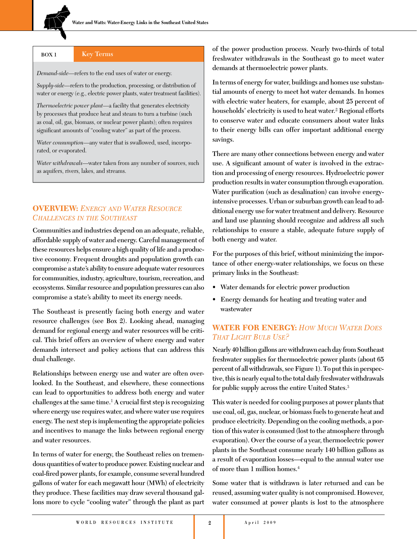**BOX 1 Key Terms**

*Demand-side*—refers to the end uses of water or energy.

*Supply-side*—refers to the production, processing, or distribution of water or energy (e.g., electric power plants, water treatment facilities).

*Thermoelectric power plant*—a facility that generates electricity by processes that produce heat and steam to turn a turbine (such as coal, oil, gas, biomass, or nuclear power plants); often requires significant amounts of "cooling water" as part of the process.

*Water consumption*—any water that is swallowed, used, incorporated, or evaporated.

*Water withdrawals*—water taken from any number of sources, such as aquifers, rivers, lakes, and streams.

# **OVERVIEW:** *ENERGY AND WATER RESOURCE CHALLENGES IN THE SOUTHEAST*

**Communities and industries depend on an adequate, reliable, affordable supply of water and energy. Careful management of these resources helps ensure a high quality of life and a productive economy. Frequent droughts and population growth can compromise a state's ability to ensure adequate water resources for communities, industry, agriculture, tourism, recreation, and ecosystems. Similar resource and population pressures can also compromise a state's ability to meet its energy needs.** 

**The Southeast is presently facing both energy and water resource challenges (see Box 2). Looking ahead, managing demand for regional energy and water resources will be critical. This brief offers an overview of where energy and water demands intersect and policy actions that can address this dual challenge.** 

**Relationships between energy use and water are often overlooked. In the Southeast, and elsewhere, these connections can lead to opportunities to address both energy and water challenges at the same time.**<sup>1</sup> **A crucial first step is recognizing where energy use requires water, and where water use requires energy. The next step is implementing the appropriate policies and incentives to manage the links between regional energy and water resources.** 

**In terms of water for energy, the Southeast relies on tremendous quantities of water to produce power. Existing nuclear and coal-fired power plants, for example, consume several hundred gallons of water for each megawatt hour (MWh) of electricity they produce. These facilities may draw several thousand gallons more to cycle "cooling water" through the plant as part**  **of the power production process. Nearly two-thirds of total freshwater withdrawals in the Southeast go to meet water demands at thermoelectric power plants.**

**In terms of energy for water, buildings and homes use substantial amounts of energy to meet hot water demands. In homes with electric water heaters, for example, about 25 percent of households' electricity is used to heat water.**<sup>2</sup> **Regional efforts to conserve water and educate consumers about water links to their energy bills can offer important additional energy savings.**

**There are many other connections between energy and water use. A significant amount of water is involved in the extraction and processing of energy resources. Hydroelectric power production results in water consumption through evaporation. Water purification (such as desalination) can involve energyintensive processes. Urban or suburban growth can lead to additional energy use for water treatment and delivery. Resource and land use planning should recognize and address all such relationships to ensure a stable, adequate future supply of both energy and water.** 

**For the purposes of this brief, without minimizing the importance of other energy-water relationships, we focus on these primary links in the Southeast:** 

- **• Water demands for electric power production**
- **• Energy demands for heating and treating water and wastewater**

# **WATER FOR ENERGY: HOW MUCH WATER DOES THAT LIGHT BULB USE?**

**Nearly 40 billion gallons are withdrawn each day from Southeast freshwater supplies for thermoelectric power plants (about 65 percent of all withdrawals, see Figure 1). To put this in perspective, this is nearly equal to the total daily freshwater withdrawals for public supply across the entire United States.**<sup>3</sup>

**This water is needed for cooling purposes at power plants that use coal, oil, gas, nuclear, or biomass fuels to generate heat and produce electricity. Depending on the cooling methods, a portion of this water is consumed (lost to the atmosphere through evaporation). Over the course of a year, thermoelectric power plants in the Southeast consume nearly 140 billion gallons as a result of evaporation losses—equal to the annual water use of more than 1 million homes.**<sup>4</sup>

**Some water that is withdrawn is later returned and can be reused, assuming water quality is not compromised. However, water consumed at power plants is lost to the atmosphere**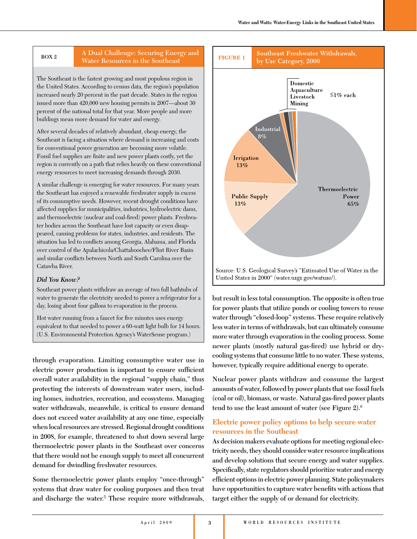# **BOX 2 A Dual Challenge: Securing Energy and Water Resources in the Southeast**

The Southeast is the fastest growing and most populous region in the United States. According to census data, the region's population increased nearly 20 percent in the past decade. States in the region issued more than 420,000 new housing permits in 2007—about 30 percent of the national total for that year. More people and more buildings mean more demand for water and energy.

After several decades of relatively abundant, cheap energy, the Southeast is facing a situation where demand is increasing and costs for conventional power generation are becoming more volatile. Fossil fuel supplies are finite and new power plants costly, yet the region is currently on a path that relies heavily on these conventional energy resources to meet increasing demands through 2030.

A similar challenge is emerging for water resources. For many years the Southeast has enjoyed a renewable freshwater supply in excess of its consumptive needs. However, recent drought conditions have affected supplies for municipalities, industries, hydroelectric dams, and thermoelectric (nuclear and coal-fired) power plants. Freshwater bodies across the Southeast have lost capacity or even disappeared, causing problems for states, industries, and residents. The situation has led to conflicts among Georgia, Alabama, and Florida over control of the Apalachicola/Chattahoochee/Flint River Basin and similar conflicts between North and South Carolina over the Catawba River.

## *Did You Know?*

Southeast power plants withdraw an average of two full bathtubs of water to generate the electricity needed to power a refrigerator for a day, losing about four gallons to evaporation in the process.

Hot water running from a faucet for five minutes uses energy equivalent to that needed to power a 60-watt light bulb for 14 hours. (U.S. Environmental Protection Agency's WaterSense program.)

**through evaporation. Limiting consumptive water use in electric power production is important to ensure sufficient overall water availability in the regional "supply chain," thus protecting the interests of downstream water users, including homes, industries, recreation, and ecosystems. Managing water withdrawals, meanwhile, is critical to ensure demand does not exceed water availability at any one time, especially when local resources are stressed. Regional drought conditions in 2008, for example, threatened to shut down several large thermoelectric power plants in the Southeast over concerns that there would not be enough supply to meet all concurrent demand for dwindling freshwater resources.** 

**Some thermoelectric power plants employ "once-through" systems that draw water for cooling purposes and then treat and discharge the water.**<sup>5</sup> **These require more withdrawals,** 



**but result in less total consumption. The opposite is often true for power plants that utilize ponds or cooling towers to reuse water through "closed-loop" systems. These require relatively less water in terms of withdrawals, but can ultimately consume more water through evaporation in the cooling process. Some newer plants (mostly natural gas-fired) use hybrid or drycooling systems that consume little to no water. These systems, however, typically require additional energy to operate.**

**Nuclear power plants withdraw and consume the largest amounts of water, followed by power plants that use fossil fuels (coal or oil), biomass, or waste. Natural gas-fired power plants tend to use the least amount of water (see Figure 2).**<sup>6</sup>

# **Electric power policy options to help secure water resources in the Southeast**

**As decision makers evaluate options for meeting regional electricity needs, they should consider water resource implications and develop solutions that secure energy and water supplies. Specifically, state regulators should prioritize water and energy efficient options in electric power planning. State policymakers have opportunities to capture water benefits with actions that target either the supply of or demand for electricity.**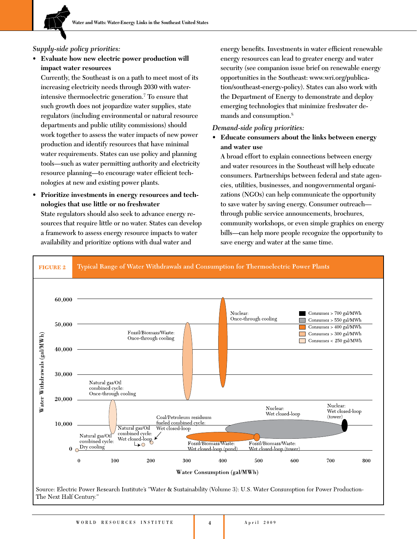# *Supply-side policy priorities:*

**Evaluate** how new electric power production will **impact water resources**

**Currently, the Southeast is on a path to meet most of its increasing electricity needs through 2030 with waterintensive thermoelectric generation.**<sup>7</sup> **To ensure that such growth does not jeopardize water supplies, state regulators (including environmental or natural resource departments and public utility commissions) should work together to assess the water impacts of new power production and identify resources that have minimal water requirements. States can use policy and planning tools—such as water permitting authority and electricity resource planning—to encourage water efficient technologies at new and existing power plants.**

**• Prioritize investments in energy resources and technologies that use little or no freshwater State regulators should also seek to advance energy resources that require little or no water. States can develop a framework to assess energy resource impacts to water availability and prioritize options with dual water and** 

**energy benefits. Investments in water efficient renewable energy resources can lead to greater energy and water security (see companion issue brief on renewable energy opportunities in the Southeast: www.wri.org/publication/southeast-energy-policy). States can also work with the Department of Energy to demonstrate and deploy emerging technologies that minimize freshwater demands and consumption.**<sup>8</sup>

# *Demand-side policy priorities:*

**• Educate consumers about the links between energy and water use**

**A broad effort to explain connections between energy and water resources in the Southeast will help educate consumers. Partnerships between federal and state agencies, utilities, businesses, and nongovernmental organizations (NGOs) can help communicate the opportunity to save water by saving energy. Consumer outreach through public service announcements, brochures, community workshops, or even simple graphics on energy bills—can help more people recognize the opportunity to save energy and water at the same time.** 



**4**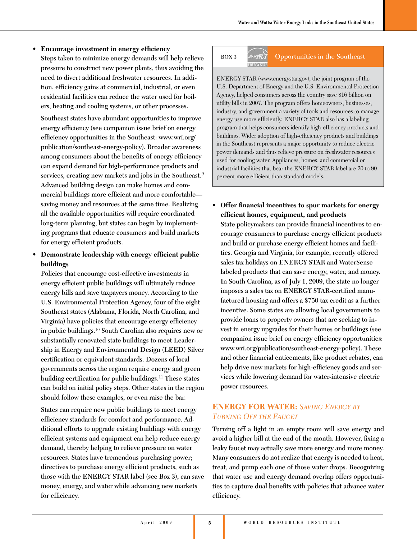**• Encourage investment in energy efficiency Steps taken to minimize energy demands will help relieve pressure to construct new power plants, thus avoiding the need to divert additional freshwater resources. In addition, efficiency gains at commercial, industrial, or even residential facilities can reduce the water used for boilers, heating and cooling systems, or other processes.**

**Southeast states have abundant opportunities to improve energy efficiency (see companion issue brief on energy efficiency opportunities in the Southeast: www.wri.org/ publication/southeast-energy-policy). Broader awareness among consumers about the benefits of energy efficiency can expand demand for high-performance products and services, creating new markets and jobs in the Southeast.**<sup>9</sup> **Advanced building design can make homes and commercial buildings more efficient and more comfortable saving money and resources at the same time. Realizing all the available opportunities will require coordinated long-term planning, but states can begin by implementing programs that educate consumers and build markets for energy efficient products.**

# **• Demonstrate leadership with energy efficient public buildings**

**Policies that encourage cost-effective investments in energy efficient public buildings will ultimately reduce energy bills and save taxpayers money. According to the U.S. Environmental Protection Agency, four of the eight Southeast states (Alabama, Florida, North Carolina, and Virginia) have policies that encourage energy efficiency in public buildings.**<sup>10</sup> **South Carolina also requires new or substantially renovated state buildings to meet Leadership in Energy and Environmental Design (LEED) Silver certification or equivalent standards. Dozens of local governments across the region require energy and green building certification for public buildings.**<sup>11</sup> **These states can build on initial policy steps. Other states in the region should follow these examples, or even raise the bar.** 

**States can require new public buildings to meet energy efficiency standards for comfort and performance. Additional efforts to upgrade existing buildings with energy efficient systems and equipment can help reduce energy demand, thereby helping to relieve pressure on water resources. States have tremendous purchasing power; directives to purchase energy efficient products, such as those with the ENERGY STAR label (see Box 3), can save money, energy, and water while advancing new markets for efficiency.** 

# **BOX 3 Opportunities in the Southeast**

ENERGY STAR (www.energystar.gov), the joint program of the U.S. Department of Energy and the U.S. Environmental Protection Agency, helped consumers across the country save \$16 billion on utility bills in 2007. The program offers homeowners, businesses, industry, and government a variety of tools and resources to manage energy use more efficiently. ENERGY STAR also has a labeling program that helps consumers identify high-efficiency products and buildings. Wider adoption of high-efficiency products and buildings in the Southeast represents a major opportunity to reduce electric power demands and thus relieve pressure on freshwater resources used for cooling water. Appliances, homes, and commercial or industrial facilities that bear the ENERGY STAR label are 20 to 90 percent more efficient than standard models.

**• Offer financial incentives to spur markets for energy efficient homes, equipment, and products State policymakers can provide financial incentives to encourage consumers to purchase energy efficient products and build or purchase energy efficient homes and facilities. Georgia and Virginia, for example, recently offered sales tax holidays on ENERGY STAR and WaterSense labeled products that can save energy, water, and money. In South Carolina, as of July 1, 2009, the state no longer imposes a sales tax on ENERGY STAR-certified manufactured housing and offers a \$750 tax credit as a further incentive. Some states are allowing local governments to provide loans to property owners that are seeking to invest in energy upgrades for their homes or buildings (see companion issue brief on energy efficiency opportunities: www.wri.org/publication/southeast-energy-policy). These and other financial enticements, like product rebates, can help drive new markets for high-efficiency goods and services while lowering demand for water-intensive electric power resources.**

# **ENERGY FOR WATER:** SAVING ENERGY BY *TURNING OFF THE FAUCET*

**Turning off a light in an empty room will save energy and avoid a higher bill at the end of the month. However, fixing a leaky faucet may actually save more energy and more money. Many consumers do not realize that energy is needed to heat, treat, and pump each one of those water drops. Recognizing that water use and energy demand overlap offers opportunities to capture dual benefits with policies that advance water efficiency.**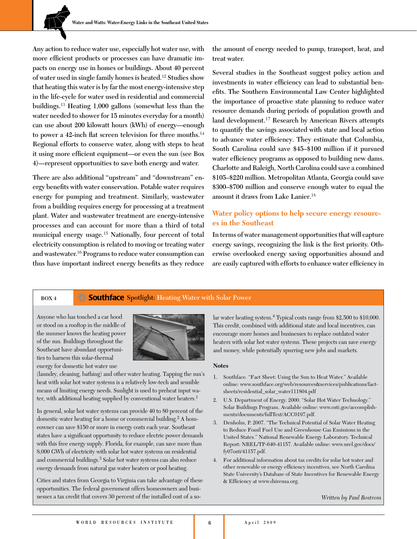**Any action to reduce water use, especially hot water use, with more efficient products or processes can have dramatic impacts on energy use in homes or buildings. About 40 percent of water used in single family homes is heated.**<sup>12</sup> **Studies show that heating this water is by far the most energy-intensive step in the life-cycle for water used in residential and commercial buildings.**<sup>13</sup> **Heating 1,000 gallons (somewhat less than the water needed to shower for 15 minutes everyday for a month) can use about 200 kilowatt hours (kWh) of energy—enough to power a 42-inch flat screen television for three months.**<sup>14</sup> **Regional efforts to conserve water, along with steps to heat it using more efficient equipment—or even the sun (see Box 4)—represent opportunities to save both energy and water.**

**There are also additional "upstream" and "downstream" energy benefits with water conservation. Potable water requires energy for pumping and treatment. Similarly, wastewater from a building requires energy for processing at a treatment plant. Water and wastewater treatment are energy-intensive processes and can account for more than a third of total municipal energy usage.**<sup>15</sup> **Nationally, four percent of total electricity consumption is related to moving or treating water and wastewater.**<sup>16</sup> **Programs to reduce water consumption can thus have important indirect energy benefits as they reduce** 

**the amount of energy needed to pump, transport, heat, and treat water.**

**Several studies in the Southeast suggest policy action and investments in water efficiency can lead to substantial benefits. The Southern Environmental Law Center highlighted the importance of proactive state planning to reduce water resource demands during periods of population growth and land development.**17 **Research by American Rivers attempts to quantify the savings associated with state and local action to advance water efficiency. They estimate that Columbia, South Carolina could save \$45–\$100 million if it pursued water efficiency programs as opposed to building new dams. Charlotte and Raleigh, North Carolina could save a combined \$105–\$220 million. Metropolitan Atlanta, Georgia could save \$300–\$700 million and conserve enough water to equal the amount it draws from Lake Lanier.**<sup>18</sup>

# **Water policy options to help secure energy resourc resources in the Southeast**

**In terms of water management opportunities that will capture energy savings, recognizing the link is the first priority. Otherwise overlooked energy saving opportunities abound and are easily captured with efforts to enhance water efficiency in** 

### **BOX 4 Spotlight:** Heating Water with Solar Power

Anyone who has touched a car hood or stood on a rooftop in the middle of the summer knows the heating power of the sun. Buildings throughout the Southeast have abundant opportunities to harness this solar-thermal energy for domestic hot water use



(laundry, cleaning, bathing) and other water heating. Tapping the sun's heat with solar hot water systems is a relatively low-tech and sensible means of limiting energy needs. Sunlight is used to preheat input water, with additional heating supplied by conventional water heaters.<sup>1</sup>

In general, solar hot water systems can provide 40 to 80 percent of the domestic water heating for a home or commercial building.<sup>2</sup> A homeowner can save \$150 or more in energy costs each year. Southeast states have a significant opportunity to reduce electric power demands with this free energy supply. Florida, for example, can save more than 8,000 GWh of electricity with solar hot water systems on residential and commercial buildings.3 Solar hot water systems can also reduce energy demands from natural gas water heaters or pool heating.

Cities and states from Georgia to Virginia can take advantage of these opportunities. The federal government offers homeowners and businesses a tax credit that covers 30 percent of the installed cost of a solar water heating system.4 Typical costs range from \$2,500 to \$10,000. This credit, combined with additional state and local incentives, can encourage more homes and businesses to replace outdated water heaters with solar hot water systems. These projects can save energy and money, while potentially spurring new jobs and markets.

### **Notes**

- 1. Southface. "Fact Sheet: Using the Sun to Heat Water." Available online: www.southface.org/web/resources&services/publications/factsheets/residential\_solar\_water111804.pdf
- 2. U.S. Department of Energy. 2000. "Solar Hot Water Technology." Solar Buildings Program. Available online: www.osti.gov/accomplishments/documents/fullText/ACC0197.pdf.
- 3. Denholm, P. 2007. "The Technical Potential of Solar Water Heating to Reduce Fossil Fuel Use and Greenhouse Gas Emissions in the United States." National Renewable Energy Laboratory. Technical Report: NREL/TP-640-41157. Available online: www.nrel.gov/docs/ fy07osti/41157.pdf.
- 4. For additional information about tax credits for solar hot water and other renewable or energy efficiency incentives, see North Carolina State University's Database of State Incentives for Renewable Energy & Efficiency at www.dsireusa.org.

*Written by Paul Bostrom*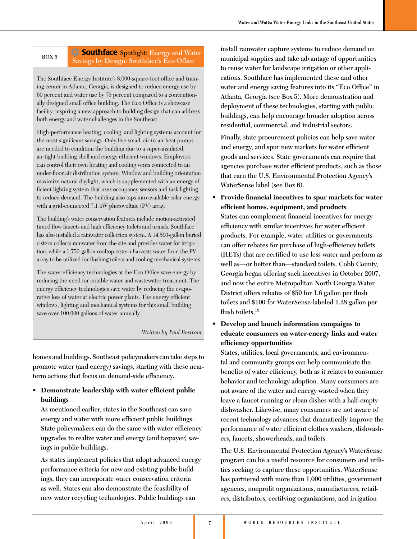# **BOX 5 Southface** Spotlight: Energy and Water **Savings by Design: Southface's Eco Office**

The Southface Energy Institute's 8,000-square-foot office and training center in Atlanta, Georgia, is designed to reduce energy use by 60 percent and water use by 75 percent compared to a conventionally designed small office building. The Eco Office is a showcase facility, inspiring a new approach to building design that can address both energy and water challenges in the Southeast.

High-performance heating, cooling, and lighting systems account for the most significant savings. Only five small, air-to-air heat pumps are needed to condition the building due to a super-insulated, air-tight building shell and energy efficient windows. Employees can control their own heating and cooling vents connected to an under-floor air distribution system. Window and building orientation maximize natural daylight, which is supplemented with an energy efficient lighting system that uses occupancy sensors and task lighting to reduce demand. The building also taps into available solar energy with a grid-connected 7.1 kW photovoltaic (PV) array.

The building's water conservation features include motion-activated timed flow faucets and high efficiency toilets and urinals. Southface has also installed a rainwater collection system. A 14,500-gallon buried cistern collects rainwater from the site and provides water for irrigation, while a 1,750-gallon rooftop cistern harvests water from the PV array to be utilized for flushing toilets and cooling mechanical systems.

The water efficiency technologies at the Eco Office save energy by reducing the need for potable water and wastewater treatment. The energy efficiency technologies save water by reducing the evaporative loss of water at electric power plants. The energy efficient windows, lighting and mechanical systems for this small building save over 100,000 gallons of water annually.

### *Written by Paul Bostrom*

**homes and buildings. Southeast policymakers can take steps to promote water (and energy) savings, starting with these nearterm actions that focus on demand-side efficiency.** 

# **• Demonstrate leadership with water efficient public buildings**

**As mentioned earlier, states in the Southeast can save energy and water with more efficient public buildings. State policymakers can do the same with water efficiency upgrades to realize water and energy (and taxpayer) savings in public buildings.**

**As states implement policies that adopt advanced energy performance criteria for new and existing public buildings, they can incorporate water conservation criteria as well. States can also demonstrate the feasibility of new water recycling technologies. Public buildings can** 

**install rainwater capture systems to reduce demand on municipal supplies and take advantage of opportunities to reuse water for landscape irrigation or other applications. Southface has implemented these and other water and energy saving features into its "Eco Office" in Atlanta, Georgia (see Box 5). More demonstration and deployment of these technologies, starting with public buildings, can help encourage broader adoption across residential, commercial, and industrial sectors.** 

**Finally, state procurement policies can help save water and energy, and spur new markets for water efficient goods and services. State governments can require that agencies purchase water efficient products, such as those that earn the U.S. Environmental Protection Agency's WaterSense label (see Box 6).**

- **• Provide financial incentives to spur markets for water efficient homes, equipment, and products States can complement financial incentives for energy efficiency with similar incentives for water efficient products. For example, water utilities or governments can offer rebates for purchase of high-efficiency toilets (HETs) that are certified to use less water and perform as well as—or better than—standard toilets. Cobb County, Georgia began offering such incentives in October 2007, and now the entire Metropolitan North Georgia Water District offers rebates of \$50 for 1.6 gallon per flush toilets and \$100 for WaterSense-labeled 1.28 gallon per flush toilets.19**
- **• Develop and launch information campaigns to educate consumers on water-energy links and water efficiency opportunities**

**States, utilities, local governments, and environmental and community groups can help communicate the benefits of water efficiency, both as it relates to consumer behavior and technology adoption. Many consumers are not aware of the water and energy wasted when they leave a faucet running or clean dishes with a half-empty dishwasher. Likewise, many consumers are not aware of recent technology advances that dramatically improve the performance of water efficient clothes washers, dishwashers, faucets, showerheads, and toilets.**

**The U.S. Environmental Protection Agency's WaterSense program can be a useful resource for consumers and utilities seeking to capture these opportunities. WaterSense has partnered with more than 1,000 utilities, government agencies, nonprofit organizations, manufacturers, retailers, distributors, certifying organizations, and irrigation**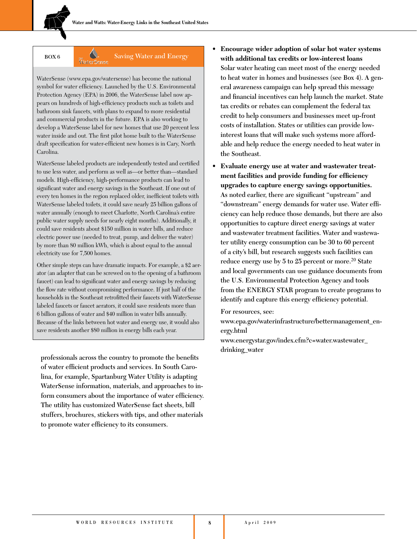# **BOX 6 Saving Water and Energy Saving Water and Energy**

WaterSense (www.epa.gov/watersense) has become the national symbol for water efficiency. Launched by the U.S. Environmental Protection Agency (EPA) in 2006, the WaterSense label now appears on hundreds of high-efficiency products such as toilets and bathroom sink faucets, with plans to expand to more residential and commercial products in the future. EPA is also working to develop a WaterSense label for new homes that use 20 percent less water inside and out. The first pilot home built to the WaterSense draft specification for water-efficient new homes is in Cary, North Carolina.

WaterSense labeled products are independently tested and certified to use less water, and perform as well as—or better than—standard models. High-efficiency, high-performance products can lead to significant water and energy savings in the Southeast. If one out of every ten homes in the region replaced older, inefficient toilets with WaterSense labeled toilets, it could save nearly 25 billion gallons of water annually (enough to meet Charlotte, North Carolina's entire public water supply needs for nearly eight months). Additionally, it could save residents about \$150 million in water bills, and reduce electric power use (needed to treat, pump, and deliver the water) by more than 80 million kWh, which is about equal to the annual electricity use for 7,500 homes.

Other simple steps can have dramatic impacts. For example, a \$2 aerator (an adapter that can be screwed on to the opening of a bathroom faucet) can lead to significant water and energy savings by reducing the flow rate without compromising performance. If just half of the households in the Southeast retrofitted their faucets with WaterSense labeled faucets or faucet aerators, it could save residents more than 6 billion gallons of water and \$40 million in water bills annually. Because of the links between hot water and energy use, it would also save residents another \$80 million in energy bills each year.

**professionals across the country to promote the benefits of water efficient products and services. In South Carolina, for example, Spartanburg Water Utility is adapting WaterSense information, materials, and approaches to inform consumers about the importance of water efficiency. The utility has customized WaterSense fact sheets, bill stuffers, brochures, stickers with tips, and other materials to promote water efficiency to its consumers.**

- **• Encourage wider adoption of solar hot water systems with additional tax credits or low-interest loans Solar water heating can meet most of the energy needed to heat water in homes and businesses (see Box 4). A general awareness campaign can help spread this message and financial incentives can help launch the market. State tax credits or rebates can complement the federal tax credit to help consumers and businesses meet up-front costs of installation. States or utilities can provide lowinterest loans that will make such systems more affordable and help reduce the energy needed to heat water in the Southeast.**
- **• Evaluate energy use at water and wastewater treatment facilities and provide funding for efficiency upgrades to capture energy savings opportunities. As noted earlier, there are significant "upstream" and "downstream" energy demands for water use. Water efficiency can help reduce those demands, but there are also opportunities to capture direct energy savings at water and wastewater treatment facilities. Water and wastewater utility energy consumption can be 30 to 60 percent of a city's bill, but research suggests such facilities can reduce energy use by 5 to 25 percent or more.**20 **State and local governments can use guidance documents from the U.S. Environmental Protection Agency and tools from the ENERGY STAR program to create programs to identify and capture this energy efficiency potential.**

**For resources, see:**

**www.epa.gov/waterinfrastructure/bettermanagement\_energy.html**

**www.energystar.gov/index.cfm?c=water.wastewater\_ drinking\_water**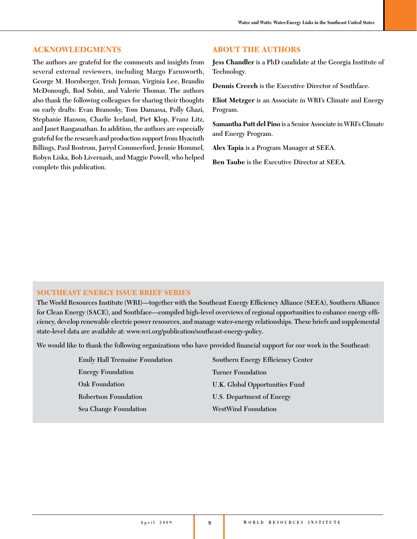# **AACKNNOWLEDEDGMENTS ENTS**

**The authors are grateful for the comments and insights from several external reviewers, including Margo Farnsworth, George M. Hornberger, Trish Jerman, Virginia Lee, Brandin McDonough, Rod Sobin, and Valerie Thomas. The authors also thank the following colleagues for sharing their thoughts on early drafts: Evan Branosky, Tom Damassa, Polly Ghazi, Stephanie Hanson, Charlie Iceland, Piet Klop, Franz Litz, and Janet Ranganathan. In addition, the authors are especially grateful for the research and production support from Hyacinth Billings, Paul Bostrom, Jarryd Commerford, Jennie Hommel, Robyn Liska, Bob Livernash, and Maggie Powell, who helped complete this publication.**

## **ABOUT THE AUTHORS**

**Jess Chandler is a PhD candidate at the Georgia Institute of Technology.** 

**Dennis Creech is the Executive Director of Southface.**

**Eliot Metzger is an Associate in WRI's Climate and Energy Program.**

**Samantha Putt del Pino is a Senior Associate in WRI's Climate and Energy Program.**

**Alex Tapia is a Program Manager at SEEA.**

**Ben Taube is the Executive Director at SEEA.**

### **SOUTHEAST ENERGY ISSUE BRIEF SERIES**

**The World Resources Institute (WRI)—together with the Southeast Energy Efficiency Alliance (SEEA), Southern Alliance for Clean Energy (SACE), and Southface—compiled high-level overviews of regional opportunities to enhance energy efficiency, develop renewable electric power resources, and manage water-energy relationships. These briefs and supplemental state-level data are available at: www.wri.org/publication/southeast-energy-policy.**

**We would like to thank the following organizations who have provided financial support for our work in the Southeast:**

| <b>Emily Hall Tremaine Foundation</b> | Southern Energy Efficiency Center |
|---------------------------------------|-----------------------------------|
| <b>Energy Foundation</b>              | <b>Turner Foundation</b>          |
| Oak Foundation                        | U.K. Global Opportunities Fund    |
| Robertson Foundation                  | U.S. Department of Energy         |
| <b>Sea Change Foundation</b>          | <b>WestWind Foundation</b>        |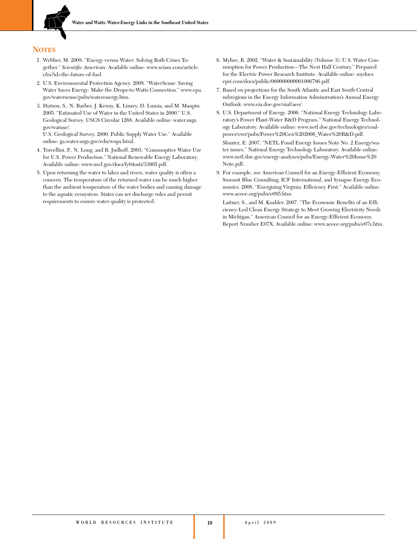

## **NOTES**

- 1. Webber, M. 2008. "Energy versus Water: Solving Both Crises Together." *Scientific American*. Available online: www.sciam.com/article. cfm?id=the-future-of-fuel.
- 2. U.S. Environmental Protection Agency. 2008. "WaterSense: Saving Water Saves Energy: Make the Drops-to-Watts Connection." www.epa. gov/watersense/pubs/waterenergy.htm.
- 3. Hutson, S., N. Barber, J. Kenny, K. Linsey, D. Lumia, and M. Maupin. 2005. "Estimated Use of Water in the United States in 2000." U.S. Geological Survey. USGS Circular 1268. Available online: water.usgs. gov/watuse/.

U.S. Geological Survey. 2000. Public Supply Water Use." Available online: ga.water.usgs.gov/edu/wups.html.

- 4. Torcellini, P., N. Long, and R. Judkoff. 2003. "Consumptive Water Use for U.S. Power Production." National Renewable Energy Laboratory. Available online: www.nrel.gov/docs/fy04osti/33905.pdf.
- 5. Upon returning the water to lakes and rivers, water quality is often a concern. The temperature of the returned water can be much higher than the ambient temperature of the water bodies and causing damage to the aquatic ecosystem. States can set discharge rules and permit requirements to ensure water quality is protected.
- 6. Myhre, R. 2002. "Water & Sustainability (Volume 3): U.S. Water Consumption for Power Production—The Next Half Century." Prepared for the Electric Power Research Institute. Available online: mydocs. epri.com/docs/public/000000000001006786.pdf.
- 7. Based on projections for the South Atlantic and East South Central subregions in the Energy Information Adminstration's Annual Energy Outlook: www.eia.doe.gov/oiaf/aeo/.
- 8. U.S. Department of Energy. 2006. "National Energy Technology Laboratory's Power Plant-Water R&D Program." National Energy Technology Laboratory. Available online: www.netl.doe.gov/technologies/coalpower/ewr/pubs/Power%20Gen%202006\_Water%20R&D.pdf.

 Shuster, E. 2007. "NETL Fossil Energy Issues Note No. 2 Energy/water issues." National Energy Technology Laboratory. Available online: www.netl.doe.gov/energy-analyses/pubs/Energy-Water%20Issue%20 Note.pdf.

9. For example, see American Council for an Energy-Efficient Economy, Summit Blue Consulting, ICF International, and Synapse Energy Economics. 2008. "Energizing Virginia: Efficiency First." Available online: www.aceee.org/pubs/e085.htm.

 Laitner, S., and M. Kushler. 2007. "The Economic Benefits of an Efficiency-Led Clean Energy Strategy to Meet Growing Electricity Needs in Michigan." American Council for an Energy-Efficient Economy. Report Number E07X. Available online: www.aceee.org/pubs/e07x.htm.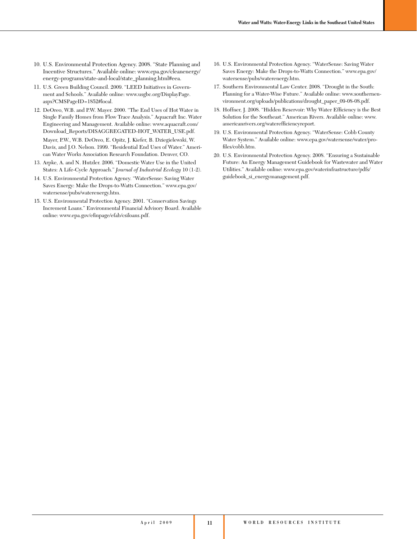- 10. U.S. Environmental Protection Agency. 2008. "State Planning and Incentive Structures." Available online: www.epa.gov/cleanenergy/ energy-programs/state-and-local/state\_planning.html#eea.
- 11. U.S. Green Building Council. 2009. "LEED Initiatives in Government and Schools." Available online: www.usgbc.org/DisplayPage. aspx?CMSPageID=1852#local.
- 12. DeOreo, W.B. and P.W. Mayer. 2000. "The End Uses of Hot Water in Single Family Homes from Flow Trace Analysis." Aquacraft Inc. Water Engineering and Management. Available online: www.aquacraft.com/ Download\_Reports/DISAGGREGATED-HOT\_WATER\_USE.pdf.

 Mayer, P.W., W.B. DeOreo, E. Opitz, J. Kiefer, B. Dziegielewski, W. Davis, and J.O. Nelson. 1999. "Residential End Uses of Water." American Water Works Association Research Foundation. Denver, CO.

- 13. Arpke, A. and N. Hutzler. 2006. "Domestic Water Use in the United States: A Life-Cycle Approach." *Journal of Industrial Ecology* 10 (1-2).
- 14. U.S. Environmental Protection Agency. "WaterSense: Saving Water Saves Energy: Make the Drops-to-Watts Connection." www.epa.gov/ watersense/pubs/waterenergy.htm.
- 15. U.S. Environmental Protection Agency. 2001. "Conservation Savings Increment Loans." Environmental Financial Advisory Board. Available online: www.epa.gov/efinpage/efab/csiloans.pdf.
- 16. U.S. Environmental Protection Agency. "WaterSense: Saving Water Saves Energy: Make the Drops-to-Watts Connection." www.epa.gov/ watersense/pubs/waterenergy.htm.
- 17. Southern Environmental Law Center. 2008. "Drought in the South: Planning for a Water-Wise Future." Available online: www.southernenvironment.org/uploads/publications/drought\_paper\_09-08-08.pdf.
- 18. Hoffner, J. 2008. "Hidden Reservoir: Why Water Efficiency is the Best Solution for the Southeast." American Rivers. Available online: www. americanrivers.org/waterefficiencyreport.
- 19. U.S. Environmental Protection Agency. "WaterSense: Cobb County Water System." Available online: www.epa.gov/watersense/water/profiles/cobb.htm.
- 20. U.S. Environmental Protection Agency. 2008. "Ensuring a Sustainable Future: An Energy Management Guidebook for Wastewater and Water Utilities." Available online: www.epa.gov/waterinfrastructure/pdfs/ guidebook\_si\_energymanagement.pdf.